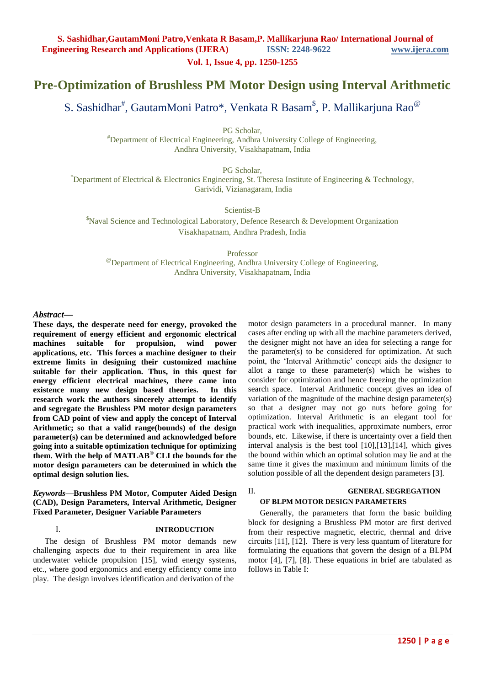**Vol. 1, Issue 4, pp. 1250-1255**

# **Pre-Optimization of Brushless PM Motor Design using Interval Arithmetic**

S. Sashidhar<sup>#</sup>, GautamMoni Patro\*, Venkata R Basam<sup>\$</sup>, P. Mallikarjuna Rao<sup>@</sup>

PG Scholar,

#Department of Electrical Engineering, Andhra University College of Engineering, Andhra University, Visakhapatnam, India

PG Scholar,

 $*$ Department of Electrical & Electronics Engineering, St. Theresa Institute of Engineering & Technology, Garividi, Vizianagaram, India

Scientist-B

<sup>\$</sup>Naval Science and Technological Laboratory, Defence Research & Development Organization Visakhapatnam, Andhra Pradesh, India

Professor

@Department of Electrical Engineering, Andhra University College of Engineering, Andhra University, Visakhapatnam, India

#### *Abstract***—**

**These days, the desperate need for energy, provoked the requirement of energy efficient and ergonomic electrical machines suitable for propulsion, wind power applications, etc. This forces a machine designer to their extreme limits in designing their customized machine suitable for their application. Thus, in this quest for energy efficient electrical machines, there came into existence many new design based theories. In this research work the authors sincerely attempt to identify and segregate the Brushless PM motor design parameters from CAD point of view and apply the concept of Interval Arithmetic; so that a valid range(bounds) of the design parameter(s) can be determined and acknowledged before going into a suitable optimization technique for optimizing them. With the help of MATLAB® CLI the bounds for the motor design parameters can be determined in which the optimal design solution lies.** 

#### *Keywords*—**Brushless PM Motor, Computer Aided Design (CAD), Design Parameters, Interval Arithmetic, Designer Fixed Parameter, Designer Variable Parameters**

#### I. **INTRODUCTION**

The design of Brushless PM motor demands new challenging aspects due to their requirement in area like underwater vehicle propulsion [15], wind energy systems, etc., where good ergonomics and energy efficiency come into play. The design involves identification and derivation of the

motor design parameters in a procedural manner. In many cases after ending up with all the machine parameters derived, the designer might not have an idea for selecting a range for the parameter(s) to be considered for optimization. At such point, the 'Interval Arithmetic' concept aids the designer to allot a range to these parameter(s) which he wishes to consider for optimization and hence freezing the optimization search space. Interval Arithmetic concept gives an idea of variation of the magnitude of the machine design parameter(s) so that a designer may not go nuts before going for optimization. Interval Arithmetic is an elegant tool for practical work with inequalities, approximate numbers, error bounds, etc. Likewise, if there is uncertainty over a field then interval analysis is the best tool [10],[13],[14], which gives the bound within which an optimal solution may lie and at the same time it gives the maximum and minimum limits of the solution possible of all the dependent design parameters [3].

#### II. **GENERAL SEGREGATION OF BLPM MOTOR DESIGN PARAMETERS**

Generally, the parameters that form the basic building block for designing a Brushless PM motor are first derived from their respective magnetic, electric, thermal and drive circuits [11], [12]. There is very less quantum of literature for formulating the equations that govern the design of a BLPM motor [4], [7], [8]. These equations in brief are tabulated as follows in Table I: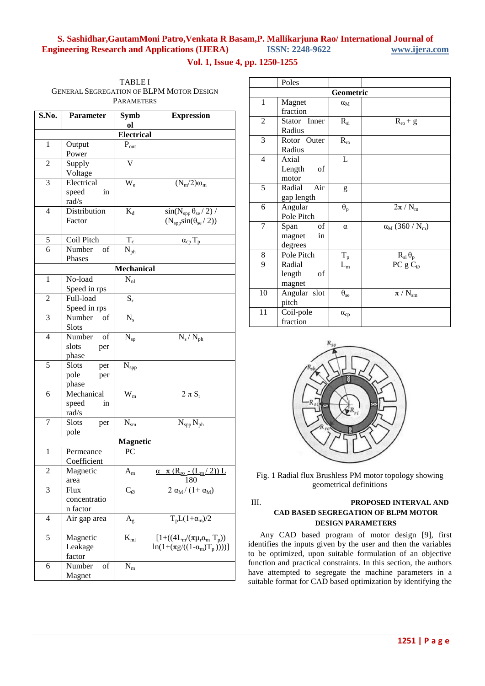### **Vol. 1, Issue 4, pp. 1250-1255**

| <b>TABLEI</b>                                   |
|-------------------------------------------------|
| <b>GENERAL SEGREGATION OF BLPM MOTOR DESIGN</b> |
| <b>PARAMETERS</b>                               |

| S.No.                   | Parameter                   | <b>Symb</b>               | <b>Expression</b>                                    |  |  |
|-------------------------|-----------------------------|---------------------------|------------------------------------------------------|--|--|
|                         |                             | ol                        |                                                      |  |  |
|                         | <b>Electrical</b>           |                           |                                                      |  |  |
| $\mathbf 1$             | Output                      | $P_{out}$                 |                                                      |  |  |
|                         | Power                       |                           |                                                      |  |  |
| $\overline{c}$          | Supply<br>Voltage           | V                         |                                                      |  |  |
| 3                       | Electrical                  | $\rm W_e$                 | $(N_m/2)\omega_m$                                    |  |  |
|                         | speed<br>in                 |                           |                                                      |  |  |
|                         | rad/s                       |                           |                                                      |  |  |
| $\overline{4}$          | Distribution                | $K_d$                     | $sin(N_{spp} \theta_{se} / 2)$ /                     |  |  |
|                         | Factor                      |                           | $(N_{\text{spp}}\sin(\theta_{\text{se}}/2))$         |  |  |
|                         |                             |                           |                                                      |  |  |
| 5                       | Coil Pitch                  | $T_{\rm c}$               | $\alpha_{cp} T_p$                                    |  |  |
| 6                       | Number<br>οf                | $\rm N_{ph}$              |                                                      |  |  |
|                         | Phases                      |                           |                                                      |  |  |
|                         |                             | Mechanical                |                                                      |  |  |
| 1                       | No-load                     | $N_{nl}$                  |                                                      |  |  |
|                         | Speed in rps                |                           |                                                      |  |  |
| $\overline{2}$          | Full-load                   | $S_r$                     |                                                      |  |  |
|                         | Speed in rps                |                           |                                                      |  |  |
| 3                       | Number<br>of                | $N_{s}$                   |                                                      |  |  |
|                         | <b>Slots</b>                |                           |                                                      |  |  |
| $\overline{4}$          | Number<br>of                | $N_{sp}$                  | $N_s / N_{ph}$                                       |  |  |
|                         | slots<br>per                |                           |                                                      |  |  |
| 5                       | phase                       |                           |                                                      |  |  |
|                         | <b>Slots</b><br>per<br>pole | $\mathbf{N}_{\text{spp}}$ |                                                      |  |  |
|                         | per<br>phase                |                           |                                                      |  |  |
| 6                       | Mechanical                  | $\bar{W}_{m}$             | $\overline{2 \pi S_r}$                               |  |  |
|                         | speed<br>in                 |                           |                                                      |  |  |
|                         | rad/s                       |                           |                                                      |  |  |
| 7                       | Slots<br>per                | $N_{\rm sm}$              | $N_{\rm spp}\,N_{\rm ph}$                            |  |  |
|                         | pole                        |                           |                                                      |  |  |
| <b>Magnetic</b>         |                             |                           |                                                      |  |  |
| 1                       | Permeance                   | PC                        |                                                      |  |  |
|                         | Coefficient                 |                           |                                                      |  |  |
| $\overline{c}$          | Magnetic                    | $A_{\rm m}$               | $\pi$ (R <sub>ro</sub> - (L <sub>m</sub> /2)) L<br>α |  |  |
|                         | area                        |                           | 180                                                  |  |  |
| 3                       | Flux                        | $C_{\emptyset}$           | $\overline{2 \alpha_M}$ (1+ $\alpha_M$ )             |  |  |
|                         | concentratio                |                           |                                                      |  |  |
|                         | n factor                    |                           |                                                      |  |  |
| $\overline{\mathbf{4}}$ | Air gap area                | $\mathbf{A}_{\text{g}}$   | $T_pL(1+\alpha_m)/2$                                 |  |  |
| 5                       | Magnetic                    | $K_{\rm ml}$              | $[1 + ((4L_m/(\pi \mu_r \alpha_m T_p))$              |  |  |
|                         | Leakage                     |                           | $\ln(1+(\pi g/((1-\alpha_m)T_p))))$                  |  |  |
|                         | factor                      |                           |                                                      |  |  |
| 6                       | Number<br>of                | $N_m$                     |                                                      |  |  |
|                         | Magnet                      |                           |                                                      |  |  |

|                | Poles         |                   |                                              |  |
|----------------|---------------|-------------------|----------------------------------------------|--|
| Geometric      |               |                   |                                              |  |
| 1              | Magnet        | $\alpha_{\rm M}$  |                                              |  |
|                | fraction      |                   |                                              |  |
| $\overline{2}$ | Stator Inner  | $R_{si}$          | $R_{\rm ro}+g$                               |  |
|                | Radius        |                   |                                              |  |
| 3              | Rotor Outer   | $R_{\rm ro}$      |                                              |  |
|                | Radius        |                   |                                              |  |
| $\overline{4}$ | Axial         | L                 |                                              |  |
|                | Length<br>οf  |                   |                                              |  |
|                | motor         |                   |                                              |  |
| 5              | Radial<br>Air | g                 |                                              |  |
|                | gap length    |                   |                                              |  |
| 6              | Angular       | $\theta_{p}$      | $2\pi/N_m$                                   |  |
|                | Pole Pitch    |                   |                                              |  |
| $\overline{7}$ | of<br>Span    | $\alpha$          | $\alpha_{\rm M}$ (360 / N <sub>m</sub> )     |  |
|                | magnet<br>in  |                   |                                              |  |
|                | degrees       |                   |                                              |  |
| 8              | Pole Pitch    | $T_{p}$           | $\frac{R_{si} \theta_p}{PC g C_{\emptyset}}$ |  |
| 9              | Radial        | $L_m$             |                                              |  |
|                | length<br>of  |                   |                                              |  |
|                | magnet        |                   |                                              |  |
| 10             | Angular slot  | $\theta_{\rm se}$ | $\pi / N_{sm}$                               |  |
|                | pitch         |                   |                                              |  |
| 11             | Coil-pole     | $\alpha_{cp}$     |                                              |  |
|                | fraction      |                   |                                              |  |



Fig. 1 Radial flux Brushless PM motor topology showing geometrical definitions

### III. **PROPOSED INTERVAL AND CAD BASED SEGREGATION OF BLPM MOTOR DESIGN PARAMETERS**

Any CAD based program of motor design [9], first identifies the inputs given by the user and then the variables to be optimized, upon suitable formulation of an objective function and practical constraints. In this section, the authors have attempted to segregate the machine parameters in a suitable format for CAD based optimization by identifying the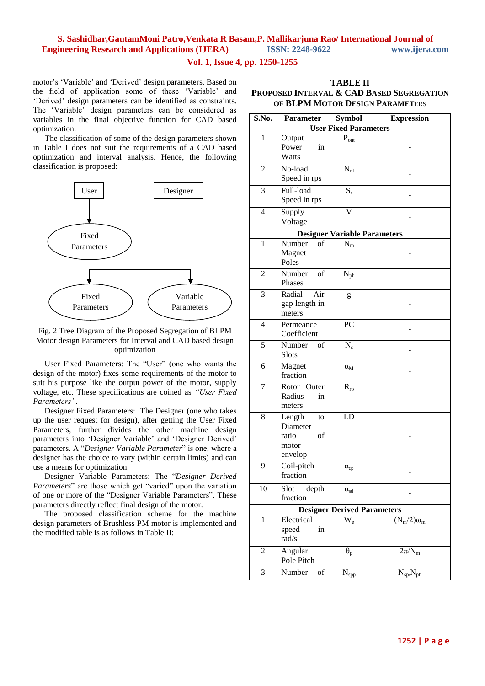#### **Vol. 1, Issue 4, pp. 1250-1255**

motor's 'Variable' and 'Derived' design parameters. Based on the field of application some of these 'Variable' and ‗Derived' design parameters can be identified as constraints. The 'Variable' design parameters can be considered as variables in the final objective function for CAD based optimization.

The classification of some of the design parameters shown in Table I does not suit the requirements of a CAD based optimization and interval analysis. Hence, the following classification is proposed:



#### Fig. 2 Tree Diagram of the Proposed Segregation of BLPM Motor design Parameters for Interval and CAD based design optimization

User Fixed Parameters: The "User" (one who wants the design of the motor) fixes some requirements of the motor to suit his purpose like the output power of the motor, supply voltage, etc. These specifications are coined as *"User Fixed Parameters"*.

Designer Fixed Parameters: The Designer (one who takes up the user request for design), after getting the User Fixed Parameters, further divides the other machine design parameters into 'Designer Variable' and 'Designer Derived' parameters. A "Designer Variable Parameter" is one, where a designer has the choice to vary (within certain limits) and can use a means for optimization.

Designer Variable Parameters: The "Designer Derived *Parameters*" are those which get "varied" upon the variation of one or more of the "Designer Variable Parameters". These parameters directly reflect final design of the motor.

The proposed classification scheme for the machine design parameters of Brushless PM motor is implemented and the modified table is as follows in Table II:

| <b>TABLE II</b>                           |
|-------------------------------------------|
| Proposed Interval & CAD Based Segregation |
| OF BLPM MOTOR DESIGN PARAMETERS           |

| S.No.                              | <b>Parameter</b>         | <b>Symbol</b>                        | <b>Expression</b> |
|------------------------------------|--------------------------|--------------------------------------|-------------------|
| <b>User Fixed Parameters</b>       |                          |                                      |                   |
| $\mathbf{1}$                       | Output                   | $P_{out}$                            |                   |
|                                    | Power<br>in              |                                      |                   |
|                                    | Watts                    |                                      |                   |
| $\overline{c}$                     | No-load                  | $N_{nl}$                             |                   |
|                                    | Speed in rps             |                                      |                   |
| 3                                  | Full-load                | $S_r$                                |                   |
|                                    | Speed in rps             |                                      |                   |
| $\overline{4}$                     | Supply                   | V                                    |                   |
|                                    | Voltage                  |                                      |                   |
|                                    |                          | <b>Designer Variable Parameters</b>  |                   |
| $\mathbf{1}$                       | Number<br>of             | $N_m$                                |                   |
|                                    | Magnet                   |                                      |                   |
|                                    | Poles                    |                                      |                   |
| $\overline{2}$                     | Number<br>of             | $N_{ph}$                             |                   |
|                                    | Phases                   |                                      |                   |
| 3                                  | Radial<br>Air            | g                                    |                   |
|                                    | gap length in            |                                      |                   |
|                                    | meters                   |                                      |                   |
| $\overline{4}$                     | Permeance                | PC                                   |                   |
|                                    | Coefficient              |                                      |                   |
| 5                                  | Number<br>οf             | $N_{s}$                              |                   |
|                                    | Slots                    |                                      |                   |
| 6                                  | Magnet                   | $\alpha_{\rm M}$                     |                   |
|                                    | fraction                 |                                      |                   |
| 7                                  | Rotor Outer              | $R_{ro}$                             |                   |
|                                    | Radius<br>in             |                                      |                   |
|                                    | meters                   |                                      |                   |
| 8                                  | Length<br>to<br>Diameter | LD                                   |                   |
|                                    | ratio<br>of              |                                      |                   |
|                                    | motor                    |                                      |                   |
|                                    | envelop                  |                                      |                   |
| 9                                  | Coil-pitch               | $\alpha_{\rm cp}$                    |                   |
|                                    | fraction                 |                                      |                   |
| 10                                 | depth<br>Slot            | $\alpha_{sd}$                        |                   |
|                                    | fraction                 |                                      |                   |
| <b>Designer Derived Parameters</b> |                          |                                      |                   |
| $\mathbf{1}$                       | Electrical               | $W_e$                                | $(N_m/2)\omega_m$ |
|                                    | speed<br>in              |                                      |                   |
|                                    | rad/s                    |                                      |                   |
| $\overline{c}$                     | Angular                  | $\theta_{p}$                         | $2\pi/N_m$        |
|                                    | Pole Pitch               |                                      |                   |
| 3                                  | Number<br>of             | $\overline{\mathbf{N}}_{\text{spp}}$ | $N_{sp}/N_{ph}$   |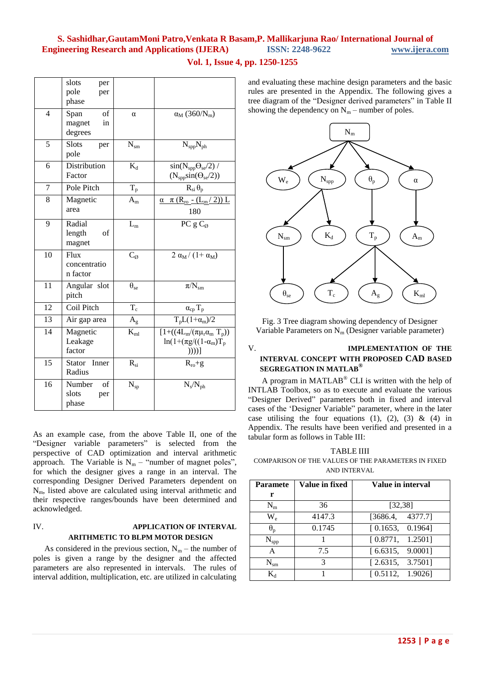| Vol. 1, Issue 4, pp. 1250-1255 |  |  |  |  |
|--------------------------------|--|--|--|--|
|--------------------------------|--|--|--|--|

|                 | slots<br>per<br>pole<br>per           |                   |                                                                                             |
|-----------------|---------------------------------------|-------------------|---------------------------------------------------------------------------------------------|
|                 | phase                                 |                   |                                                                                             |
| $\overline{4}$  | of<br>Span<br>magnet<br>in<br>degrees | $\alpha$          | $\alpha_{\rm M}$ (360/N <sub>m</sub> )                                                      |
| 5               | Slots<br>per<br>pole                  | $N_{\rm sm}$      | $N_{\rm spp}N_{\rm ph}$                                                                     |
| 6               | Distribution<br>Factor                | $K_d$             | $sin(N_{\rm spp}\Theta_{\rm se}/2)$ /<br>$(N_{\text{spp}}\text{sin}(\Theta_{\text{se}}/2))$ |
| $\overline{7}$  | Pole Pitch                            | $T_p$             | $R_{si} \theta_p$                                                                           |
| 8               | Magnetic<br>area                      | $A_{\rm m}$       | $\alpha$ $\pi$ (R <sub>ro</sub> - (L <sub>m</sub> /2)) L<br>180                             |
| 9               | Radial<br>length<br>οf<br>magnet      | $L_{\rm m}$       | PC $gC_{\emptyset}$                                                                         |
| 10              | Flux<br>concentratio<br>n factor      | $C_{\emptyset}$   | $2 \alpha_M / (1 + \alpha_M)$                                                               |
| 11              | Angular slot<br>pitch                 | $\theta_{\rm se}$ | $\pi/N_{\rm sm}$                                                                            |
| $\overline{12}$ | Coil Pitch                            | $T_c$             | $\alpha_{cp} \, T_p$                                                                        |
| 13              | Air gap area                          | $A_{\rm g}$       | $T_pL(1+\alpha_m)/2$                                                                        |
| 14              | Magnetic<br>Leakage<br>factor         | $K_{ml}$          | $[1 + ((4L_m/(\pi \mu_r \alpha_m T_p)))$<br>$ln(1+(\pi g)((1-\alpha_m)T_p$<br>))))          |
| 15              | Stator Inner<br>Radius                | $R_{si}$          | $R_{ro} + g$                                                                                |
| 16              | Number<br>of<br>slots<br>per<br>phase | $N_{sp}$          | $N_s/N_{ph}$                                                                                |

As an example case, from the above Table II, one of the ―Designer variable parameters‖ is selected from the perspective of CAD optimization and interval arithmetic approach. The Variable is  $N_m$  – "number of magnet poles", for which the designer gives a range in an interval. The corresponding Designer Derived Parameters dependent on Nm, listed above are calculated using interval arithmetic and their respective ranges/bounds have been determined and acknowledged.

#### IV. **APPLICATION OF INTERVAL ARITHMETIC TO BLPM MOTOR DESIGN**

As considered in the previous section,  $N_m$  – the number of poles is given a range by the designer and the affected parameters are also represented in intervals. The rules of interval addition, multiplication, etc. are utilized in calculating and evaluating these machine design parameters and the basic rules are presented in the Appendix. The following gives a tree diagram of the "Designer derived parameters" in Table II showing the dependency on  $N_m$  – number of poles.



Fig. 3 Tree diagram showing dependency of Designer Variable Parameters on  $N_m$  (Designer variable parameter)

#### V. **IMPLEMENTATION OF THE INTERVAL CONCEPT WITH PROPOSED CAD BASED SEGREGATION IN MATLAB®**

A program in MATLAB® CLI is written with the help of INTLAB Toolbox, so as to execute and evaluate the various ―Designer Derived‖ parameters both in fixed and interval cases of the 'Designer Variable'' parameter, where in the later case utilising the four equations  $(1)$ ,  $(2)$ ,  $(3)$  &  $(4)$  in Appendix. The results have been verified and presented in a tabular form as follows in Table III:

TABLE IIII

COMPARISON OF THE VALUES OF THE PARAMETERS IN FIXED AND INTERVAL

| <b>Paramete</b>  | Value in fixed | Value in interval |
|------------------|----------------|-------------------|
| r                |                |                   |
| $N_{m}$          | 36             | [32, 38]          |
| $W_{\rm e}$      | 4147.3         | [3686.4, 4377.7]  |
| $\theta_{\rm p}$ | 0.1745         | [0.1653, 0.1964]  |
| $N_{\rm spp}$    |                | [0.8771, 1.2501]  |
| A                | 7.5            | [6.6315, 9.0001]  |
| $N_{\rm sm}$     | $\mathcal{R}$  | [2.6315, 3.7501]  |
| $\rm K$          |                | [0.5112, 1.9026]  |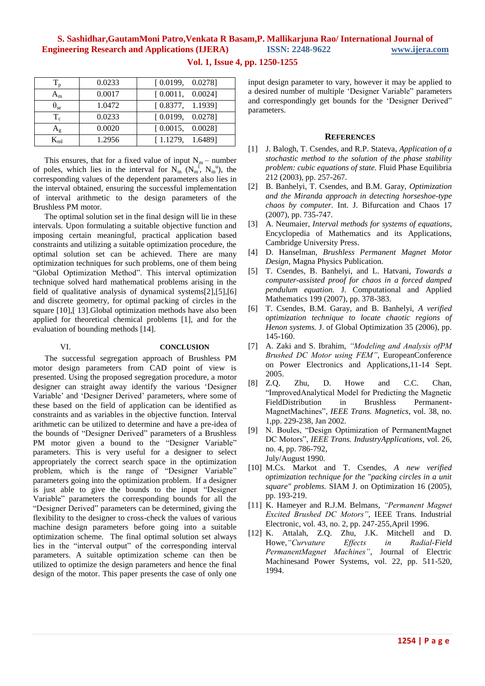| $\mathbf{T_p}$ | 0.0233 | [0.0199, 0.0278]                                                |
|----------------|--------|-----------------------------------------------------------------|
| ${\bf A_m}$    | 0.0017 | $\begin{bmatrix} 0.0011, & 0.0024 \end{bmatrix}$                |
| $\theta_{se}$  | 1.0472 | [0.8377, 1.1939]                                                |
| $T_c$          | 0.0233 | [0.0199, 0.0278]                                                |
| $\rm A_g$      | 0.0020 | [0.0015, 0.0028]                                                |
|                | 1.2956 | $\left[ \begin{array}{cc} 1.1279, & 1.6489 \end{array} \right]$ |

**Vol. 1, Issue 4, pp. 1250-1255**

This ensures, that for a fixed value of input  $N_m$  – number of poles, which lies in the interval for  $N_m^{\dagger}$  ( $N_m^{\dagger}$ ,  $N_m^{\dagger}$ ), the corresponding values of the dependent parameters also lies in the interval obtained, ensuring the successful implementation of interval arithmetic to the design parameters of the Brushless PM motor.

The optimal solution set in the final design will lie in these intervals. Upon formulating a suitable objective function and imposing certain meaningful, practical application based constraints and utilizing a suitable optimization procedure, the optimal solution set can be achieved. There are many optimization techniques for such problems, one of them being "Global Optimization Method". This interval optimization technique solved hard mathematical problems arising in the field of qualitative analysis of dynamical systems[2],[5],[6] and discrete geometry, for optimal packing of circles in the square [10],[ 13].Global optimization methods have also been applied for theoretical chemical problems [1], and for the evaluation of bounding methods [14].

#### VI. **CONCLUSION**

The successful segregation approach of Brushless PM motor design parameters from CAD point of view is presented. Using the proposed segregation procedure, a motor designer can straight away identify the various 'Designer Variable' and 'Designer Derived' parameters, where some of these based on the field of application can be identified as constraints and as variables in the objective function. Interval arithmetic can be utilized to determine and have a pre-idea of the bounds of "Designer Derived" parameters of a Brushless PM motor given a bound to the "Designer Variable" parameters. This is very useful for a designer to select appropriately the correct search space in the optimization problem, which is the range of "Designer Variable" parameters going into the optimization problem. If a designer is just able to give the bounds to the input "Designer Variable" parameters the corresponding bounds for all the ―Designer Derived‖ parameters can be determined, giving the flexibility to the designer to cross-check the values of various machine design parameters before going into a suitable optimization scheme. The final optimal solution set always lies in the "interval output" of the corresponding interval parameters. A suitable optimization scheme can then be utilized to optimize the design parameters and hence the final design of the motor. This paper presents the case of only one

input design parameter to vary, however it may be applied to a desired number of multiple 'Designer Variable" parameters and correspondingly get bounds for the 'Designer Derived" parameters.

#### **REFERENCES**

- [1] J. Balogh, T. Csendes, and R.P. Stateva, *Application of a stochastic method to the solution of the phase stability problem: cubic equations of state.* Fluid Phase Equilibria 212 (2003), pp. 257-267.
- [2] B. Banhelyi, T. Csendes, and B.M. Garay, *Optimization and the Miranda approach in detecting horseshoe-type chaos by computer.* Int. J. Bifurcation and Chaos 17 (2007), pp. 735-747.
- [3] A. Neumaier, *Interval methods for systems of equations*, Encyclopedia of Mathematics and its Applications, Cambridge University Press.
- [4] D. Hanselman, *Brushless Permanent Magnet Motor Design*, Magna Physics Publication.
- [5] T. Csendes, B. Banhelyi, and L. Hatvani, *Towards a computer-assisted proof for chaos in a forced damped pendulum equation.* J. Computational and Applied Mathematics 199 (2007), pp. 378-383.
- [6] T. Csendes, B.M. Garay, and B. Banhelyi, *A verified optimization technique to locate chaotic regions of Henon systems.* J. of Global Optimization 35 (2006), pp. 145-160.
- [7] A. Zaki and S. Ibrahim, *"Modeling and Analysis ofPM Brushed DC Motor using FEM"*, EuropeanConference on Power Electronics and Applications,11-14 Sept. 2005.
- [8] Z.Q. Zhu, D. Howe and C.C. Chan, "ImprovedAnalytical Model for Predicting the Magnetic FieldDistribution in Brushless Permanent-MagnetMachines‖, *IEEE Trans. Magnetics*, vol. 38, no. 1,pp. 229-238, Jan 2002.
- [9] N. Boules, "Design Optimization of PermanentMagnet DC Motors", IEEE Trans. IndustryApplications, vol. 26, no. 4, pp. 786-792, July/August 1990.
- [10] M.Cs. Markot and T. Csendes, *A new verified optimization technique for the "packing circles in a unit square" problems.* SIAM J. on Optimization 16 (2005), pp. 193-219.
- [11] K. Hameyer and R.J.M. Belmans, *"Permanent Magnet Excited Brushed DC Motors"*, IEEE Trans. Industrial Electronic, vol. 43, no. 2, pp. 247-255,April 1996.
- [12] K. Attalah, Z.Q. Zhu, J.K. Mitchell and D. Howe,*"Curvature Effects in Radial-Field PermanentMagnet Machines"*, Journal of Electric Machinesand Power Systems, vol. 22, pp. 511-520, 1994.